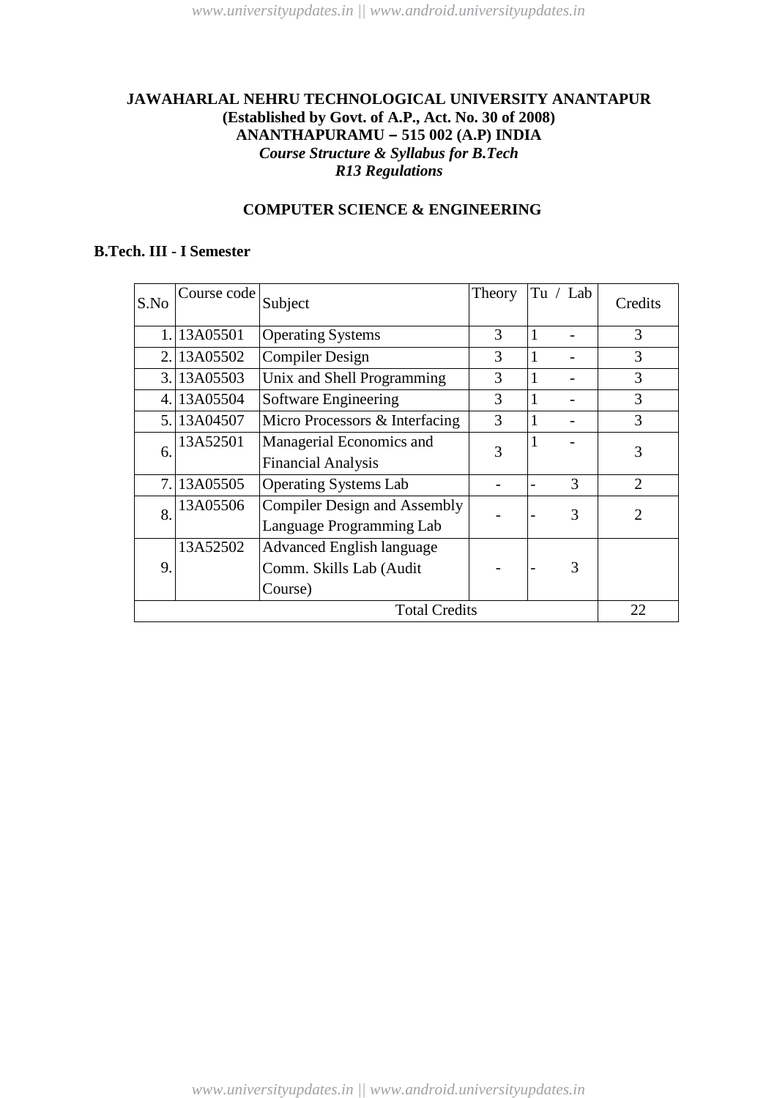# **JAWAHARLAL NEHRU TECHNOLOGICAL UNIVERSITY ANANTAPUR (Established by Govt. of A.P., Act. No. 30 of 2008) ANANTHAPURAMU – 515 002 (A.P) INDIA** *Course Structure & Syllabus for B.Tech R13 Regulations*

# **COMPUTER SCIENCE & ENGINEERING**

# **B.Tech. III - I Semester**

| S.No                 | Course code | Subject                             | Theory | Tu $/$ Lab |   | Credits        |                             |
|----------------------|-------------|-------------------------------------|--------|------------|---|----------------|-----------------------------|
|                      | 1.13A05501  | <b>Operating Systems</b>            | 3      | 1          |   | 3              |                             |
|                      | 2.13A05502  | <b>Compiler Design</b>              | 3      | 1          |   | 3              |                             |
|                      | 3. 13A05503 | Unix and Shell Programming          | 3      |            |   | 3              |                             |
| 4.                   | 13A05504    | Software Engineering                | 3      |            |   | 3              |                             |
|                      | 5. 13A04507 | Micro Processors & Interfacing      | 3      |            |   | 3              |                             |
| 6.                   | 13A52501    | Managerial Economics and            | 3      |            |   | 3              |                             |
|                      |             | <b>Financial Analysis</b>           |        |            |   |                |                             |
|                      | 7.13A05505  | <b>Operating Systems Lab</b>        |        |            | 3 | $\overline{2}$ |                             |
| 8.                   | 13A05506    | <b>Compiler Design and Assembly</b> |        |            |   | 3              | $\mathcal{D}_{\mathcal{L}}$ |
|                      |             | Language Programming Lab            |        |            |   |                |                             |
|                      | 13A52502    | <b>Advanced English language</b>    |        |            |   |                |                             |
| 9.                   |             | Comm. Skills Lab (Audit             |        |            | 3 |                |                             |
|                      |             | Course)                             |        |            |   |                |                             |
| <b>Total Credits</b> |             |                                     |        | 22         |   |                |                             |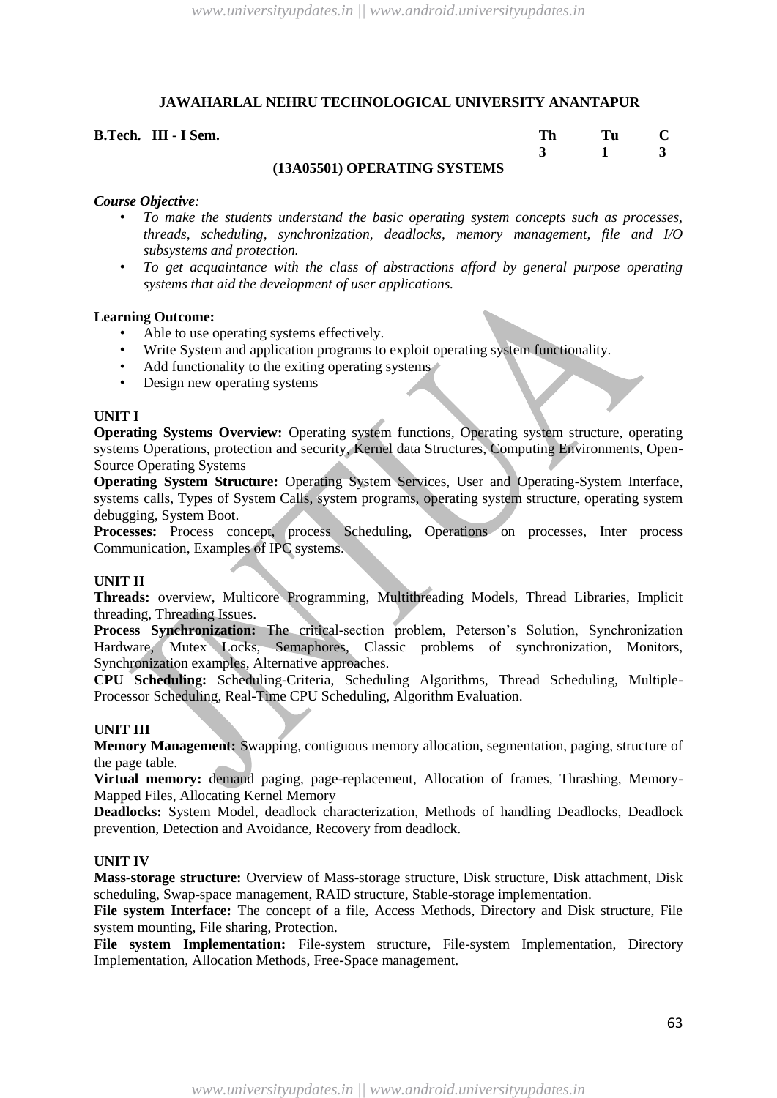**B.Tech. III - I Sem. Th Tu C 3 1 3**

#### **(13A05501) OPERATING SYSTEMS**

#### *Course Objective:*

- *To make the students understand the basic operating system concepts such as processes, threads, scheduling, synchronization, deadlocks, memory management, file and I/O subsystems and protection.*
- *To get acquaintance with the class of abstractions afford by general purpose operating systems that aid the development of user applications.*

#### **Learning Outcome:**

- Able to use operating systems effectively.
- Write System and application programs to exploit operating system functionality.
- Add functionality to the exiting operating systems
- Design new operating systems

#### **UNIT I**

**Operating Systems Overview:** Operating system functions, Operating system structure, operating systems Operations, protection and security, Kernel data Structures, Computing Environments, Open-Source Operating Systems

**Operating System Structure:** Operating System Services, User and Operating-System Interface, systems calls, Types of System Calls, system programs, operating system structure, operating system debugging, System Boot.

Processes: Process concept, process Scheduling, Operations on processes, Inter process Communication, Examples of IPC systems.

#### **UNIT II**

**Threads:** overview, Multicore Programming, Multithreading Models, Thread Libraries, Implicit threading, Threading Issues.

**Process Synchronization:** The critical-section problem, Peterson's Solution, Synchronization Hardware, Mutex Locks, Semaphores, Classic problems of synchronization, Monitors, Synchronization examples, Alternative approaches.

**CPU Scheduling:** Scheduling-Criteria, Scheduling Algorithms, Thread Scheduling, Multiple-Processor Scheduling, Real-Time CPU Scheduling, Algorithm Evaluation.

#### **UNIT III**

**Memory Management:** Swapping, contiguous memory allocation, segmentation, paging, structure of the page table.

**Virtual memory:** demand paging, page-replacement, Allocation of frames, Thrashing, Memory-Mapped Files, Allocating Kernel Memory

**Deadlocks:** System Model, deadlock characterization, Methods of handling Deadlocks, Deadlock prevention, Detection and Avoidance, Recovery from deadlock.

#### **UNIT IV**

**Mass-storage structure:** Overview of Mass-storage structure, Disk structure, Disk attachment, Disk scheduling, Swap-space management, RAID structure, Stable-storage implementation.

**File system Interface:** The concept of a file, Access Methods, Directory and Disk structure, File system mounting, File sharing, Protection.

**File system Implementation:** File-system structure, File-system Implementation, Directory Implementation, Allocation Methods, Free-Space management.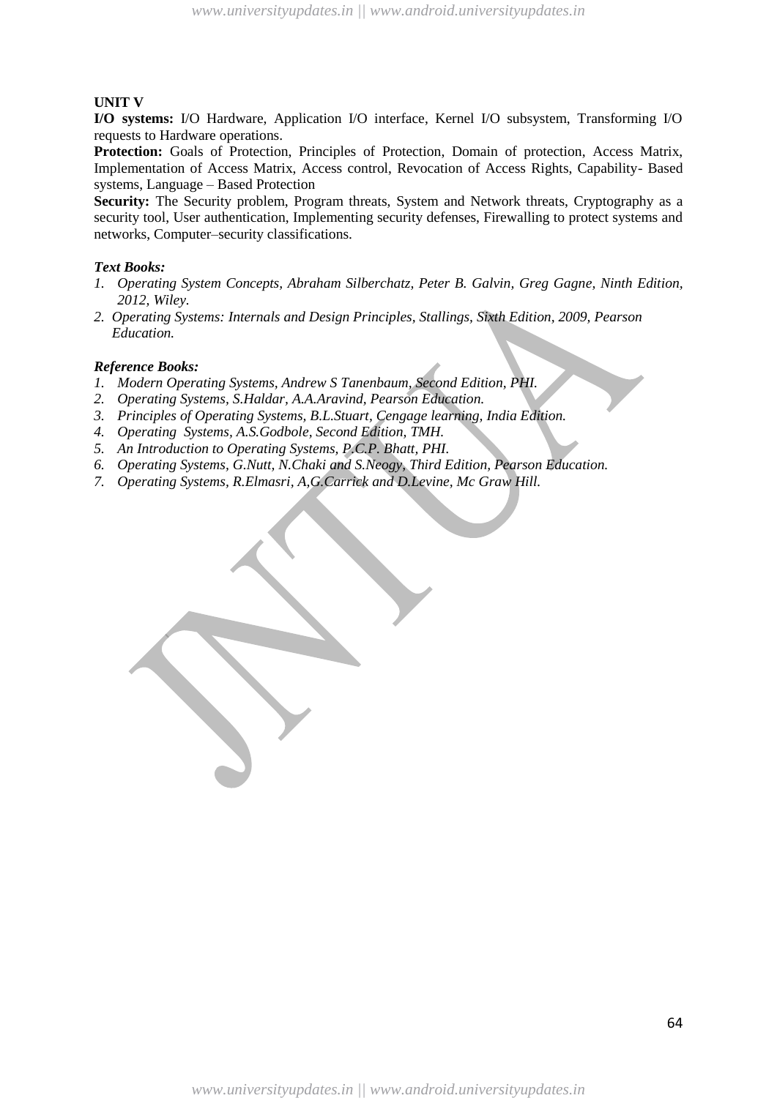## **UNIT V**

**I/O systems:** I/O Hardware, Application I/O interface, Kernel I/O subsystem, Transforming I/O requests to Hardware operations.

**Protection:** Goals of Protection, Principles of Protection, Domain of protection, Access Matrix, Implementation of Access Matrix, Access control, Revocation of Access Rights, Capability- Based systems, Language – Based Protection

**Security:** The Security problem, Program threats, System and Network threats, Cryptography as a security tool, User authentication, Implementing security defenses, Firewalling to protect systems and networks, Computer–security classifications.

#### *Text Books:*

- *1. Operating System Concepts, Abraham Silberchatz, Peter B. Galvin, Greg Gagne, Ninth Edition, 2012, Wiley.*
- *2. Operating Systems: Internals and Design Principles, Stallings, Sixth Edition, 2009, Pearson Education.*

- *1. Modern Operating Systems, Andrew S Tanenbaum, Second Edition, PHI.*
- *2. Operating Systems, S.Haldar, A.A.Aravind, Pearson Education.*
- *3. Principles of Operating Systems, B.L.Stuart, Cengage learning, India Edition.*
- *4. Operating Systems, A.S.Godbole, Second Edition, TMH.*
- *5. An Introduction to Operating Systems, P.C.P. Bhatt, PHI.*
- *6. Operating Systems, G.Nutt, N.Chaki and S.Neogy, Third Edition, Pearson Education.*
- *7. Operating Systems, R.Elmasri, A,G.Carrick and D.Levine, Mc Graw Hill.*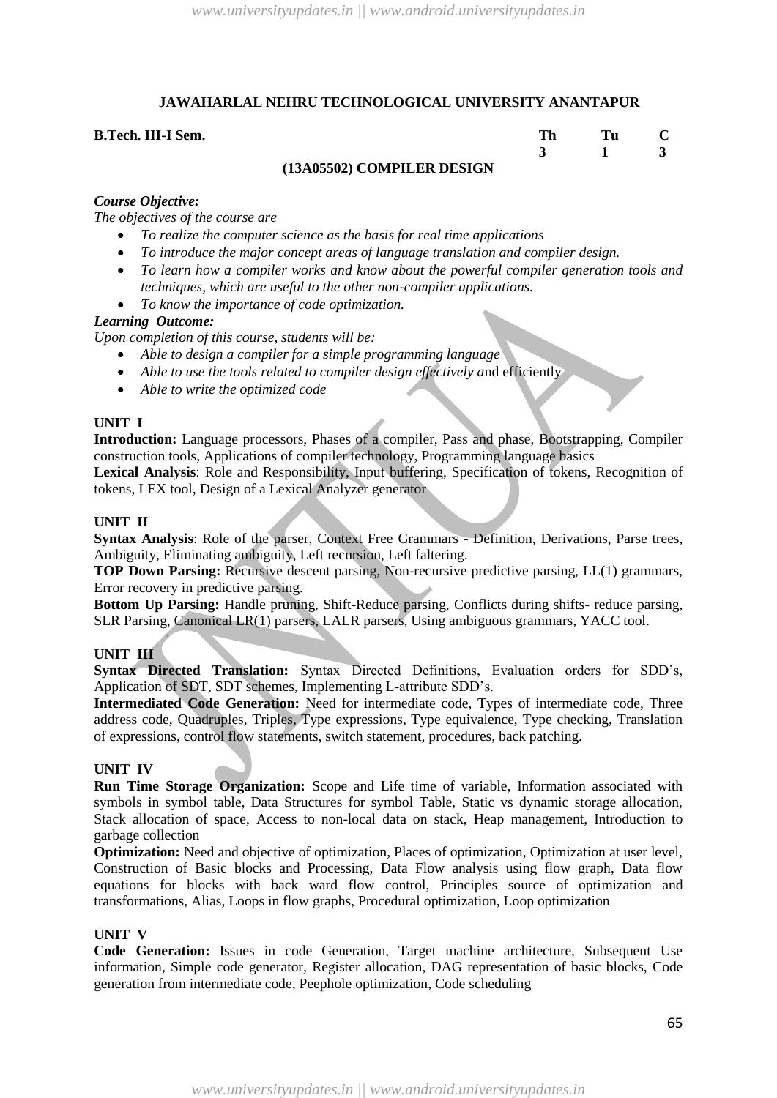| B.Tech. III-I Sem. |                            |  |  |
|--------------------|----------------------------|--|--|
|                    |                            |  |  |
|                    | (13A05502) COMPILER DESIGN |  |  |

#### *Course Objective:*

*The objectives of the course are* 

- *To realize the computer science as the basis for real time applications*
- *To introduce the major concept areas of language translation and compiler design.*
- *To learn how a compiler works and know about the powerful compiler generation tools and techniques, which are useful to the other non-compiler applications.*
- *To know the importance of code optimization.*

#### *Learning Outcome:*

*Upon completion of this course, students will be:*

- *Able to design a compiler for a simple programming language*
- *Able to use the tools related to compiler design effectively a*nd efficiently
- *Able to write the optimized code*

## **UNIT I**

**Introduction:** Language processors, Phases of a compiler, Pass and phase, Bootstrapping, Compiler construction tools, Applications of compiler technology, Programming language basics

**Lexical Analysis**: Role and Responsibility, Input buffering, Specification of tokens, Recognition of tokens, LEX tool, Design of a Lexical Analyzer generator

#### **UNIT II**

**Syntax Analysis**: Role of the parser, Context Free Grammars - Definition, Derivations, Parse trees, Ambiguity, Eliminating ambiguity, Left recursion, Left faltering.

**TOP Down Parsing:** Recursive descent parsing, Non-recursive predictive parsing, LL(1) grammars, Error recovery in predictive parsing.

**Bottom Up Parsing:** Handle pruning, Shift-Reduce parsing, Conflicts during shifts- reduce parsing, SLR Parsing, Canonical LR(1) parsers, LALR parsers, Using ambiguous grammars, YACC tool.

#### **UNIT III**

**Syntax Directed Translation:** Syntax Directed Definitions, Evaluation orders for SDD's, Application of SDT, SDT schemes, Implementing L-attribute SDD's.

**Intermediated Code Generation:** Need for intermediate code, Types of intermediate code, Three address code, Quadruples, Triples, Type expressions, Type equivalence, Type checking, Translation of expressions, control flow statements, switch statement, procedures, back patching.

#### **UNIT IV**

**Run Time Storage Organization:** Scope and Life time of variable, Information associated with symbols in symbol table, Data Structures for symbol Table, Static vs dynamic storage allocation, Stack allocation of space, Access to non-local data on stack, Heap management, Introduction to garbage collection

**Optimization:** Need and objective of optimization, Places of optimization, Optimization at user level, Construction of Basic blocks and Processing, Data Flow analysis using flow graph, Data flow equations for blocks with back ward flow control, Principles source of optimization and transformations, Alias, Loops in flow graphs, Procedural optimization, Loop optimization

#### **UNIT V**

**Code Generation:** Issues in code Generation, Target machine architecture, Subsequent Use information, Simple code generator, Register allocation, DAG representation of basic blocks, Code generation from intermediate code, Peephole optimization, Code scheduling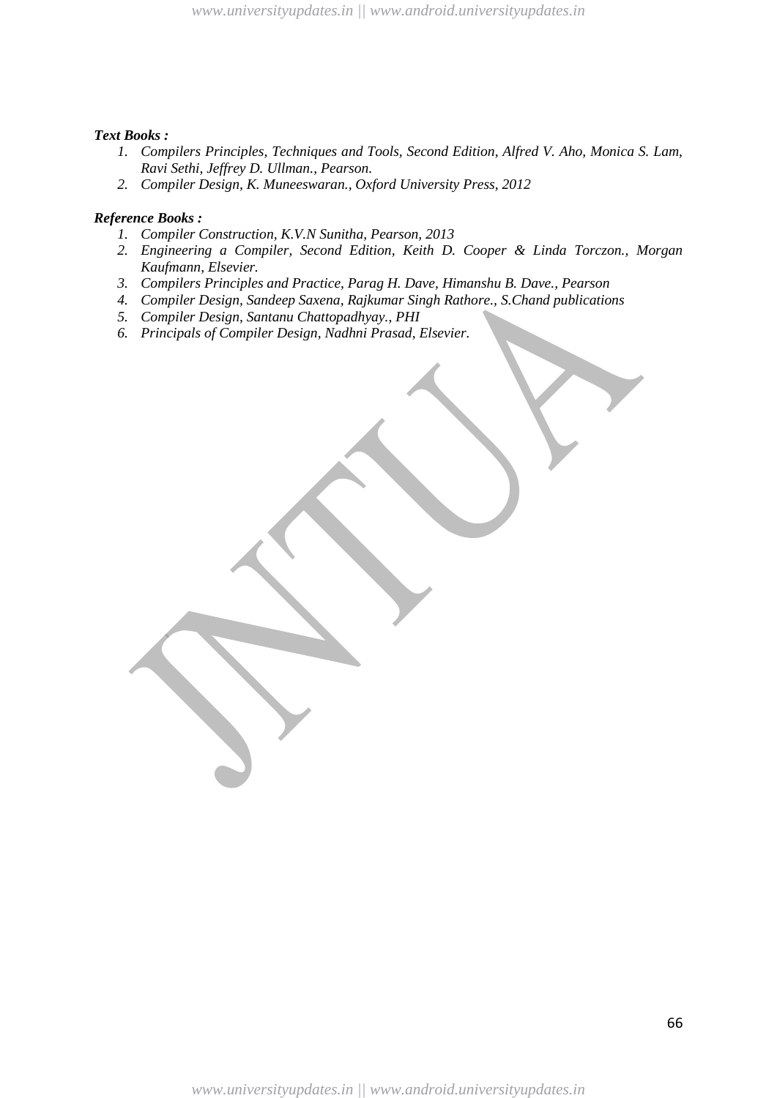#### *Text Books :*

- *1. Compilers Principles, Techniques and Tools, Second Edition, Alfred V. Aho, Monica S. Lam, Ravi Sethi, Jeffrey D. Ullman., Pearson.*
- *2. Compiler Design, K. Muneeswaran., Oxford University Press, 2012*

- *1. Compiler Construction, K.V.N Sunitha, Pearson, 2013*
- *2. Engineering a Compiler, Second Edition, Keith D. Cooper & Linda Torczon., Morgan Kaufmann, Elsevier.*
- *3. Compilers Principles and Practice, Parag H. Dave, Himanshu B. Dave., Pearson*
- *4. Compiler Design, Sandeep Saxena, Rajkumar Singh Rathore., S.Chand publications*
- *5. Compiler Design, Santanu Chattopadhyay., PHI*
- *6. Principals of Compiler Design, Nadhni Prasad, Elsevier.*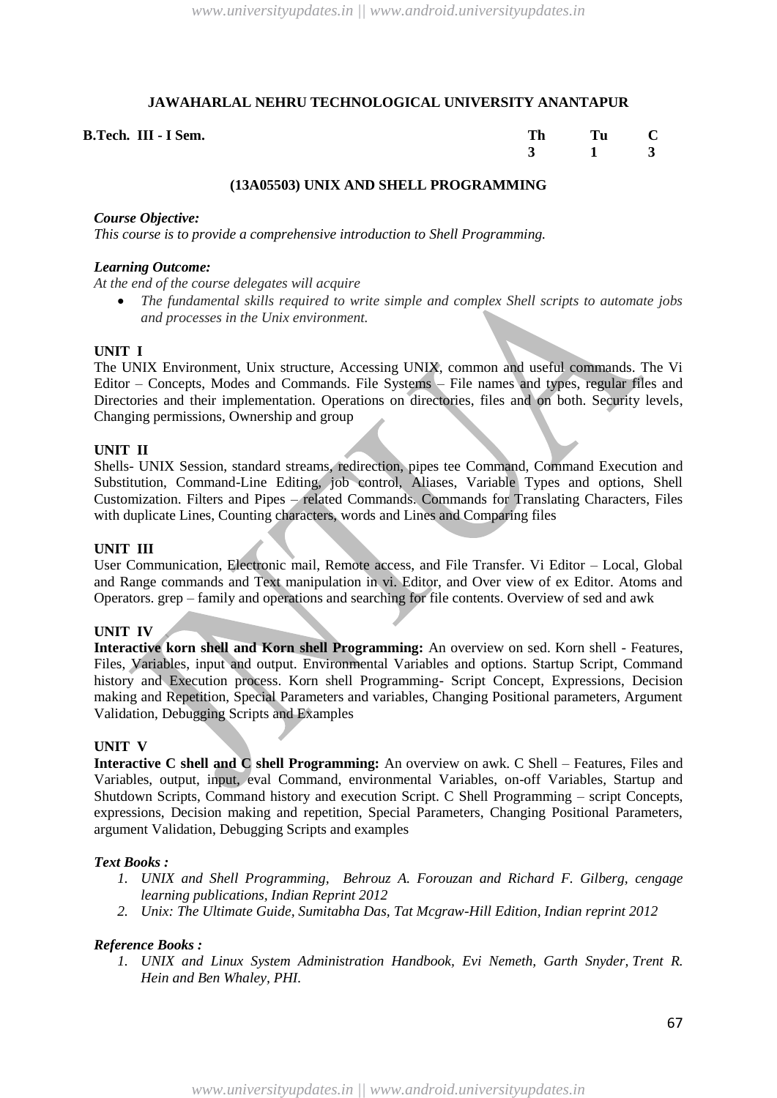| B.Tech. III - I Sem. | Tu C |  |
|----------------------|------|--|
|                      |      |  |

#### **(13A05503) UNIX AND SHELL PROGRAMMING**

#### *Course Objective:*

*This course is to provide a comprehensive introduction to Shell Programming.*

#### *Learning Outcome:*

*At the end of the course delegates will acquire* 

 *The fundamental skills required to write simple and complex Shell scripts to automate jobs and processes in the Unix environment.*

#### **UNIT I**

The UNIX Environment, Unix structure, Accessing UNIX, common and useful commands. The Vi Editor – Concepts, Modes and Commands. File Systems – File names and types, regular files and Directories and their implementation. Operations on directories, files and on both. Security levels, Changing permissions, Ownership and group

#### **UNIT II**

Shells- UNIX Session, standard streams, redirection, pipes tee Command, Command Execution and Substitution, Command-Line Editing, job control, Aliases, Variable Types and options, Shell Customization. Filters and Pipes – related Commands. Commands for Translating Characters, Files with duplicate Lines, Counting characters, words and Lines and Comparing files

#### **UNIT III**

User Communication, Electronic mail, Remote access, and File Transfer. Vi Editor – Local, Global and Range commands and Text manipulation in vi. Editor, and Over view of ex Editor. Atoms and Operators. grep – family and operations and searching for file contents. Overview of sed and awk

#### **UNIT IV**

**Interactive korn shell and Korn shell Programming:** An overview on sed. Korn shell - Features, Files, Variables, input and output. Environmental Variables and options. Startup Script, Command history and Execution process. Korn shell Programming- Script Concept, Expressions, Decision making and Repetition, Special Parameters and variables, Changing Positional parameters, Argument Validation, Debugging Scripts and Examples

#### **UNIT V**

**Interactive C shell and C shell Programming:** An overview on awk. C Shell – Features, Files and Variables, output, input, eval Command, environmental Variables, on-off Variables, Startup and Shutdown Scripts, Command history and execution Script. C Shell Programming – script Concepts, expressions, Decision making and repetition, Special Parameters, Changing Positional Parameters, argument Validation, Debugging Scripts and examples

#### *Text Books :*

- *1. UNIX and Shell Programming, Behrouz A. Forouzan and Richard F. Gilberg, cengage learning publications, Indian Reprint 2012*
- *2. Unix: The Ultimate Guide, Sumitabha Das, Tat Mcgraw-Hill Edition, Indian reprint 2012*

#### *Reference Books :*

*1. UNIX and Linux System Administration Handbook, Evi Nemeth, Garth Snyder, [Trent R.](http://www.amazon.com/Trent-R.-Hein/e/B001IGFJ5Q/ref=sr_ntt_srch_lnk_1?qid=1371032136&sr=8-1)  [Hein](http://www.amazon.com/Trent-R.-Hein/e/B001IGFJ5Q/ref=sr_ntt_srch_lnk_1?qid=1371032136&sr=8-1) and Ben Whaley, PHI.*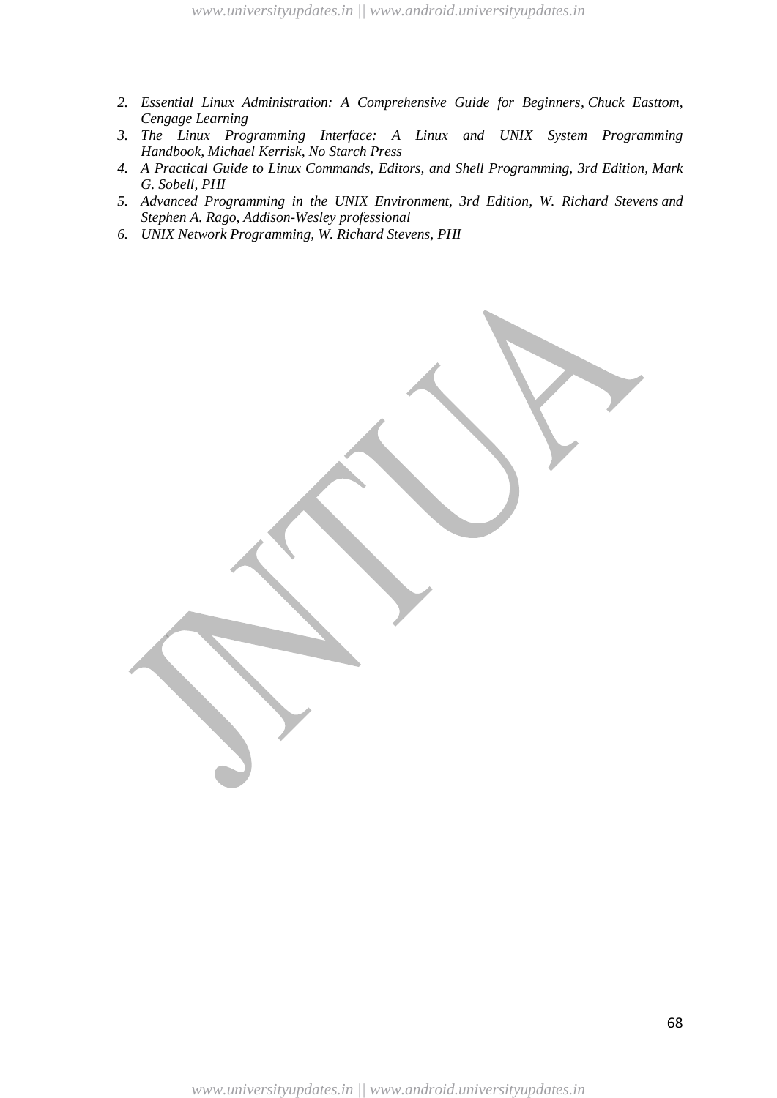- *2. [Essential Linux Administration: A Comprehensive Guide for Beginners,](http://www.amazon.com/Essential-Linux-Administration-Comprehensive-Beginners/dp/1435459563/ref=sr_1_7?ie=UTF8&qid=1371032136&sr=8-7&keywords=linux+administration) [Chuck Easttom,](http://www.amazon.com/Chuck-Easttom/e/B001IYZ6I8/ref=sr_ntt_srch_lnk_7?qid=1371032136&sr=8-7) Cengage Learning*
- *3. [The Linux Programming Interface: A Linux and UNIX System Programming](http://www.amazon.com/The-Linux-Programming-Interface-Handbook/dp/1593272200/ref=sr_1_2?ie=UTF8&qid=1371032467&sr=8-2&keywords=linux+programming) [Handbook,](http://www.amazon.com/The-Linux-Programming-Interface-Handbook/dp/1593272200/ref=sr_1_2?ie=UTF8&qid=1371032467&sr=8-2&keywords=linux+programming) [Michael Kerrisk,](http://www.amazon.com/Michael-Kerrisk/e/B0036HFFBI/ref=sr_ntt_srch_lnk_2?qid=1371032466&sr=8-2) No Starch Press*
- *4. [A Practical Guide to Linux Commands, Editors, and Shell Programming, 3rd Edition,](http://www.amazon.com/Practical-Commands-Editors-Programming-Edition/dp/013308504X/ref=sr_1_4?ie=UTF8&qid=1371032537&sr=8-4&keywords=linux+programming) [Mark](http://www.amazon.com/Mark-G.-Sobell/e/B000APJW04/ref=sr_ntt_srch_lnk_4?qid=1371032537&sr=8-4)  [G. Sobell,](http://www.amazon.com/Mark-G.-Sobell/e/B000APJW04/ref=sr_ntt_srch_lnk_4?qid=1371032537&sr=8-4) PHI*
- *5. [Advanced Programming in the UNIX Environment, 3rd Edition, W. Richard Stevens](http://www.amazon.com/Programming-Environment-Addison-Wesley-Professional-Computing/dp/0321637739/ref=sr_1_10?ie=UTF8&qid=1371032537&sr=8-10&keywords=linux+programming) and Stephen A. Rago, Addison-Wesley professional*
- *6. [UNIX Network Programming,](http://www.amazon.com/UNIX-Network-Programming-Richard-Stevens/dp/0139498761/ref=sr_1_1?ie=UTF8&qid=1371032664&sr=8-1&keywords=linux+network+programming%2C+stevens) [W. Richard](http://www.amazon.com/W.-Richard-Stevens/e/B000AP9GV4/ref=sr_ntt_srch_lnk_1?qid=1371032664&sr=8-1) Stevens, PHI*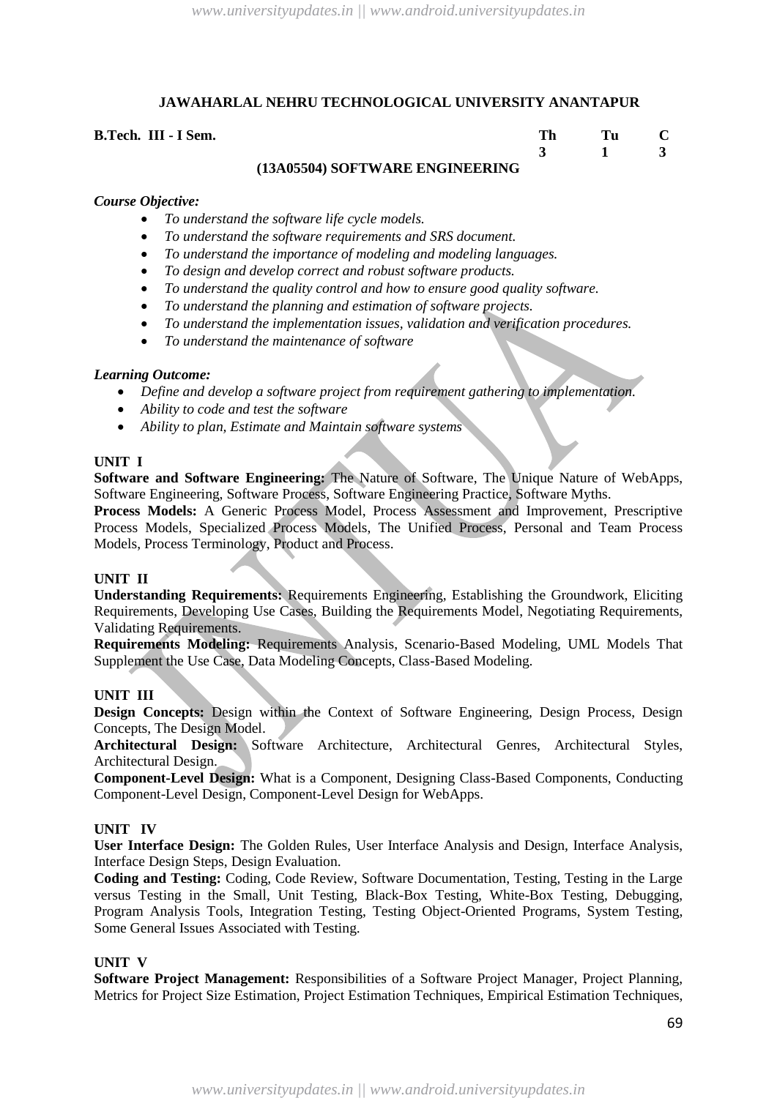#### **B.Tech. III - I Sem.**

| TIVE DE ENAINEEDINA |  |  |
|---------------------|--|--|

# **(13A05504) SOFTWARE ENGINEERING**

# *Course Objective:*

- *To understand the software life cycle models.*
- *To understand the software requirements and SRS document.*
- *To understand the importance of modeling and modeling languages.*
- *To design and develop correct and robust software products.*
- *To understand the quality control and how to ensure good quality software.*
- *To understand the planning and estimation of software projects.*
- *To understand the implementation issues, validation and verification procedures.*
- *To understand the maintenance of software*

# *Learning Outcome:*

- *Define and develop a software project from requirement gathering to implementation.*
- *Ability to code and test the software*
- *Ability to plan, Estimate and Maintain software systems*

# **UNIT I**

**Software and Software Engineering:** The Nature of Software, The Unique Nature of WebApps, Software Engineering, Software Process, Software Engineering Practice, Software Myths.

**Process Models:** A Generic Process Model, Process Assessment and Improvement, Prescriptive Process Models, Specialized Process Models, The Unified Process, Personal and Team Process Models, Process Terminology, Product and Process.

#### **UNIT II**

**Understanding Requirements:** Requirements Engineering, Establishing the Groundwork, Eliciting Requirements, Developing Use Cases, Building the Requirements Model, Negotiating Requirements, Validating Requirements.

**Requirements Modeling:** Requirements Analysis, Scenario-Based Modeling, UML Models That Supplement the Use Case, Data Modeling Concepts, Class-Based Modeling.

# **UNIT III**

**Design Concepts:** Design within the Context of Software Engineering, Design Process, Design Concepts, The Design Model.

**Architectural Design:** Software Architecture, Architectural Genres, Architectural Styles, Architectural Design.

**Component-Level Design:** What is a Component, Designing Class-Based Components, Conducting Component-Level Design, Component-Level Design for WebApps.

#### **UNIT IV**

**User Interface Design:** The Golden Rules, User Interface Analysis and Design, Interface Analysis, Interface Design Steps, Design Evaluation.

**Coding and Testing:** Coding, Code Review, Software Documentation, Testing, Testing in the Large versus Testing in the Small, Unit Testing, Black-Box Testing, White-Box Testing, Debugging, Program Analysis Tools, Integration Testing, Testing Object-Oriented Programs, System Testing, Some General Issues Associated with Testing.

# **UNIT V**

**Software Project Management:** Responsibilities of a Software Project Manager, Project Planning, Metrics for Project Size Estimation, Project Estimation Techniques, Empirical Estimation Techniques,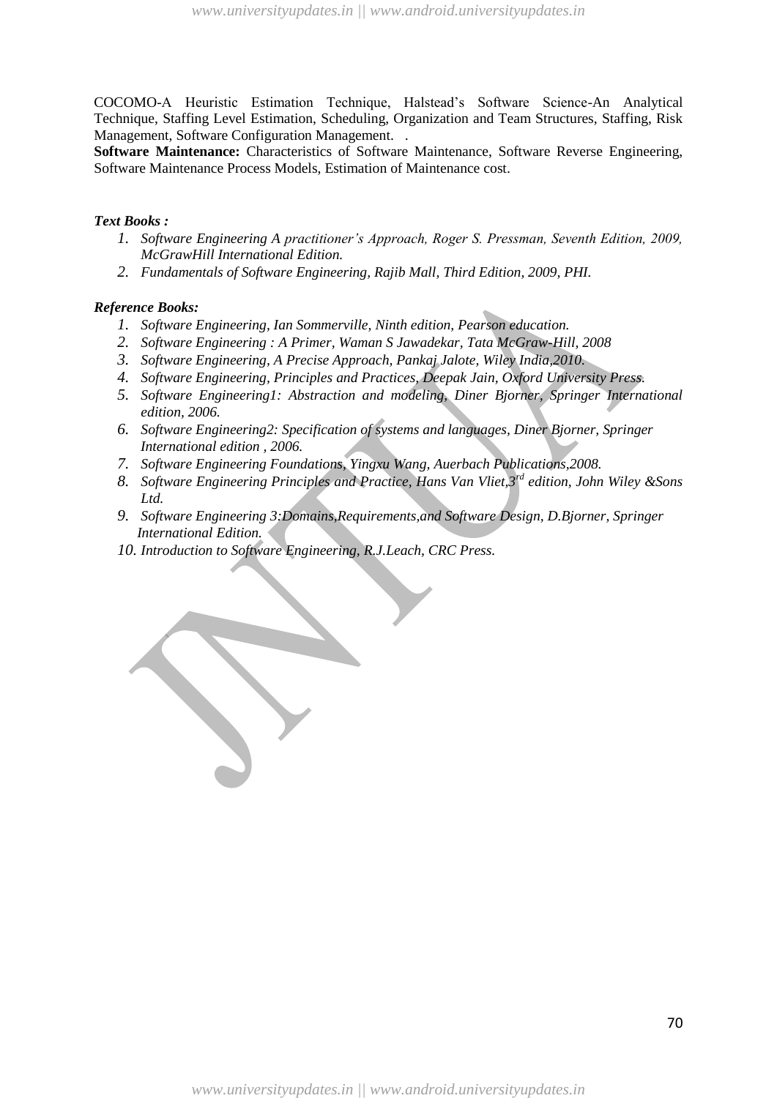COCOMO-A Heuristic Estimation Technique, Halstead's Software Science-An Analytical Technique, Staffing Level Estimation, Scheduling, Organization and Team Structures, Staffing, Risk Management, Software Configuration Management. .

**Software Maintenance:** Characteristics of Software Maintenance, Software Reverse Engineering, Software Maintenance Process Models, Estimation of Maintenance cost.

#### *Text Books :*

- *1. Software Engineering A practitioner"s Approach, Roger S. Pressman, Seventh Edition, 2009, McGrawHill International Edition.*
- *2. Fundamentals of Software Engineering, Rajib Mall, Third Edition, 2009, PHI.*

- *1. Software Engineering, Ian Sommerville, Ninth edition, Pearson education.*
- *2. Software Engineering : A Primer, Waman S Jawadekar, Tata McGraw-Hill, 2008*
- *3. Software Engineering, A Precise Approach, Pankaj Jalote, Wiley India,2010.*
- *4. Software Engineering, Principles and Practices, Deepak Jain, Oxford University Press.*
- *5. Software Engineering1: Abstraction and modeling, Diner Bjorner, Springer International edition, 2006.*
- *6. Software Engineering2: Specification of systems and languages, Diner Bjorner, Springer International edition , 2006.*
- *7. Software Engineering Foundations, Yingxu Wang, Auerbach Publications,2008.*
- *8. Software Engineering Principles and Practice, Hans Van Vliet,3rd edition, John Wiley &Sons Ltd.*
- *9. Software Engineering 3:Domains,Requirements,and Software Design, D.Bjorner, Springer International Edition.*
- *10. Introduction to Software Engineering, R.J.Leach, CRC Press.*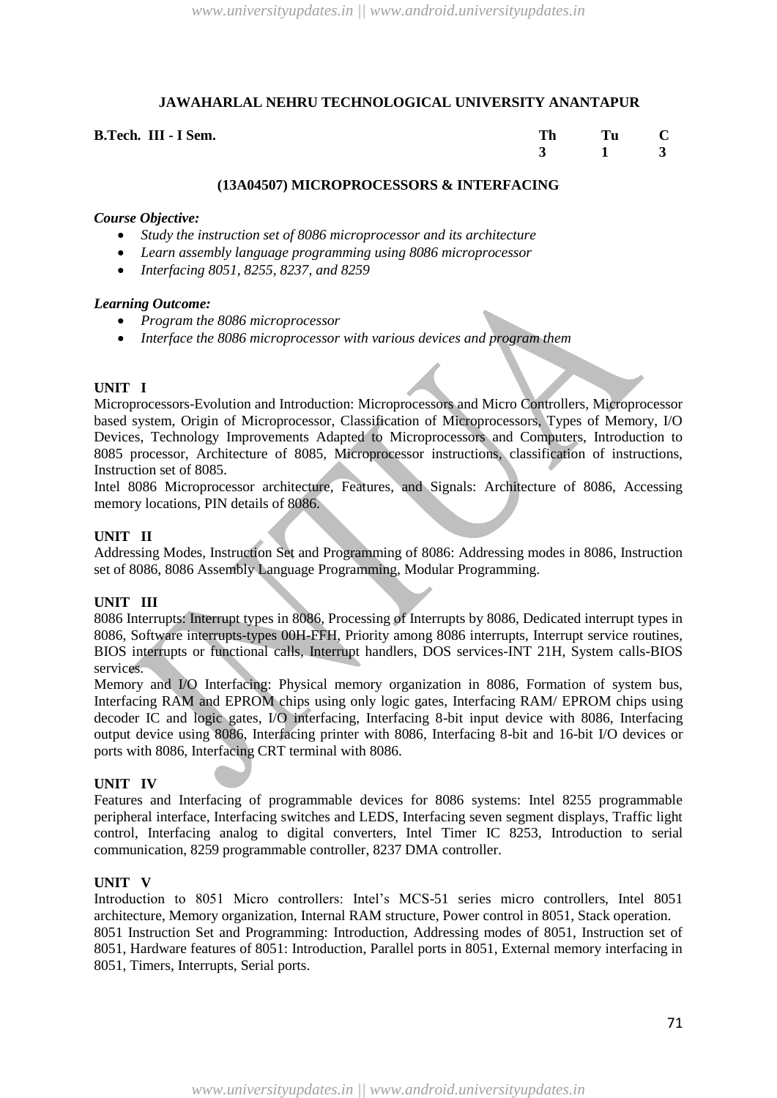| B.Tech. III - I Sem. | <b>Th</b> | Tu C          |  |
|----------------------|-----------|---------------|--|
|                      |           | $3 \t 1 \t 3$ |  |

#### **(13A04507) MICROPROCESSORS & INTERFACING**

#### *Course Objective:*

- *Study the instruction set of 8086 microprocessor and its architecture*
- *Learn assembly language programming using 8086 microprocessor*
- *Interfacing 8051, 8255, 8237, and 8259*

#### *Learning Outcome:*

- *Program the 8086 microprocessor*
- *Interface the 8086 microprocessor with various devices and program them*

# **UNIT I**

Microprocessors-Evolution and Introduction: Microprocessors and Micro Controllers, Microprocessor based system, Origin of Microprocessor, Classification of Microprocessors, Types of Memory, I/O Devices, Technology Improvements Adapted to Microprocessors and Computers, Introduction to 8085 processor, Architecture of 8085, Microprocessor instructions, classification of instructions, Instruction set of 8085.

Intel 8086 Microprocessor architecture, Features, and Signals: Architecture of 8086, Accessing memory locations, PIN details of 8086.

# **UNIT II**

Addressing Modes, Instruction Set and Programming of 8086: Addressing modes in 8086, Instruction set of 8086, 8086 Assembly Language Programming, Modular Programming.

#### **UNIT III**

8086 Interrupts: Interrupt types in 8086, Processing of Interrupts by 8086, Dedicated interrupt types in 8086, Software interrupts-types 00H-FFH, Priority among 8086 interrupts, Interrupt service routines, BIOS interrupts or functional calls, Interrupt handlers, DOS services-INT 21H, System calls-BIOS services.

Memory and I/O Interfacing: Physical memory organization in 8086, Formation of system bus, Interfacing RAM and EPROM chips using only logic gates, Interfacing RAM/ EPROM chips using decoder IC and logic gates, I/O interfacing, Interfacing 8-bit input device with 8086, Interfacing output device using 8086, Interfacing printer with 8086, Interfacing 8-bit and 16-bit I/O devices or ports with 8086, Interfacing CRT terminal with 8086.

# **UNIT IV**

Features and Interfacing of programmable devices for 8086 systems: Intel 8255 programmable peripheral interface, Interfacing switches and LEDS, Interfacing seven segment displays, Traffic light control, Interfacing analog to digital converters, Intel Timer IC 8253, Introduction to serial communication, 8259 programmable controller, 8237 DMA controller.

# **UNIT V**

Introduction to 8051 Micro controllers: Intel's MCS-51 series micro controllers, Intel 8051 architecture, Memory organization, Internal RAM structure, Power control in 8051, Stack operation. 8051 Instruction Set and Programming: Introduction, Addressing modes of 8051, Instruction set of 8051, Hardware features of 8051: Introduction, Parallel ports in 8051, External memory interfacing in

8051, Timers, Interrupts, Serial ports.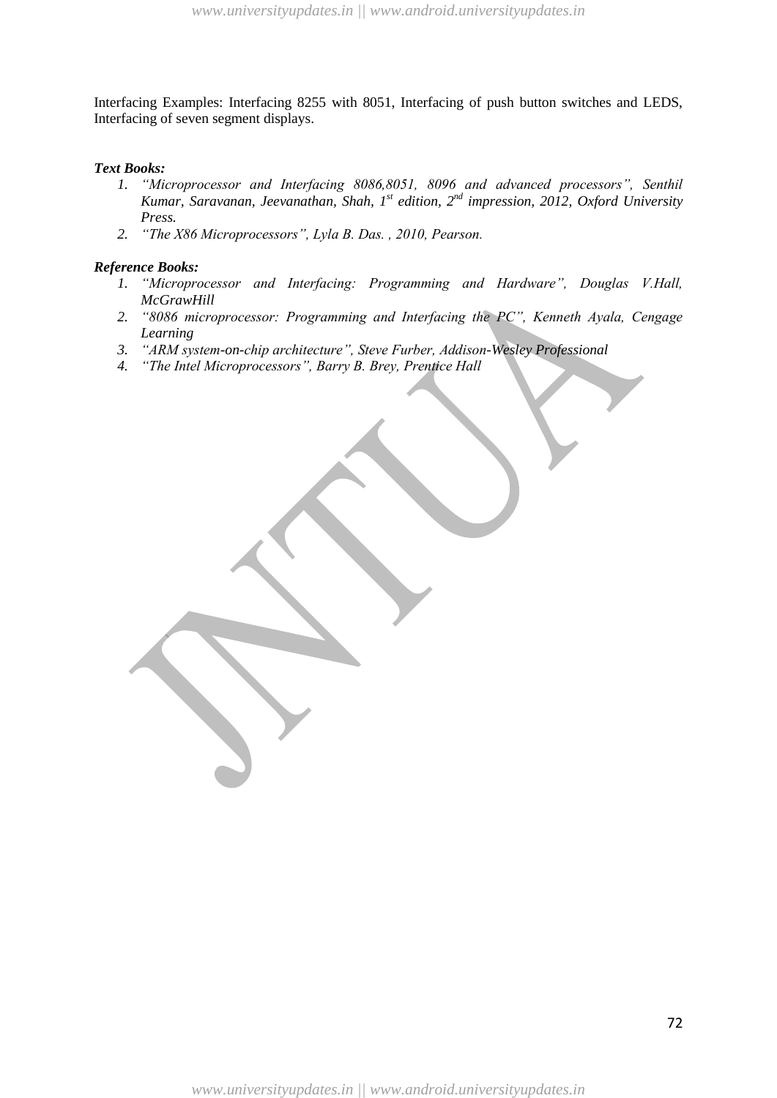Interfacing Examples: Interfacing 8255 with 8051, Interfacing of push button switches and LEDS, Interfacing of seven segment displays.

#### *Text Books:*

- *1. "Microprocessor and Interfacing 8086,8051, 8096 and advanced processors", Senthil Kumar, Saravanan, Jeevanathan, Shah, 1st edition, 2nd impression, 2012, Oxford University Press.*
- *2. "The X86 Microprocessors", Lyla B. Das. , 2010, Pearson.*

- *1. "Microprocessor and Interfacing: Programming and Hardware", Douglas V.Hall, McGrawHill*
- *2. "8086 microprocessor: Programming and Interfacing the PC", Kenneth Ayala, Cengage Learning*
- *3. "ARM system-on-chip architecture", Steve Furber, Addison-Wesley Professional*
- *4. "The Intel Microprocessors", Barry B. Brey, Prentice Hall*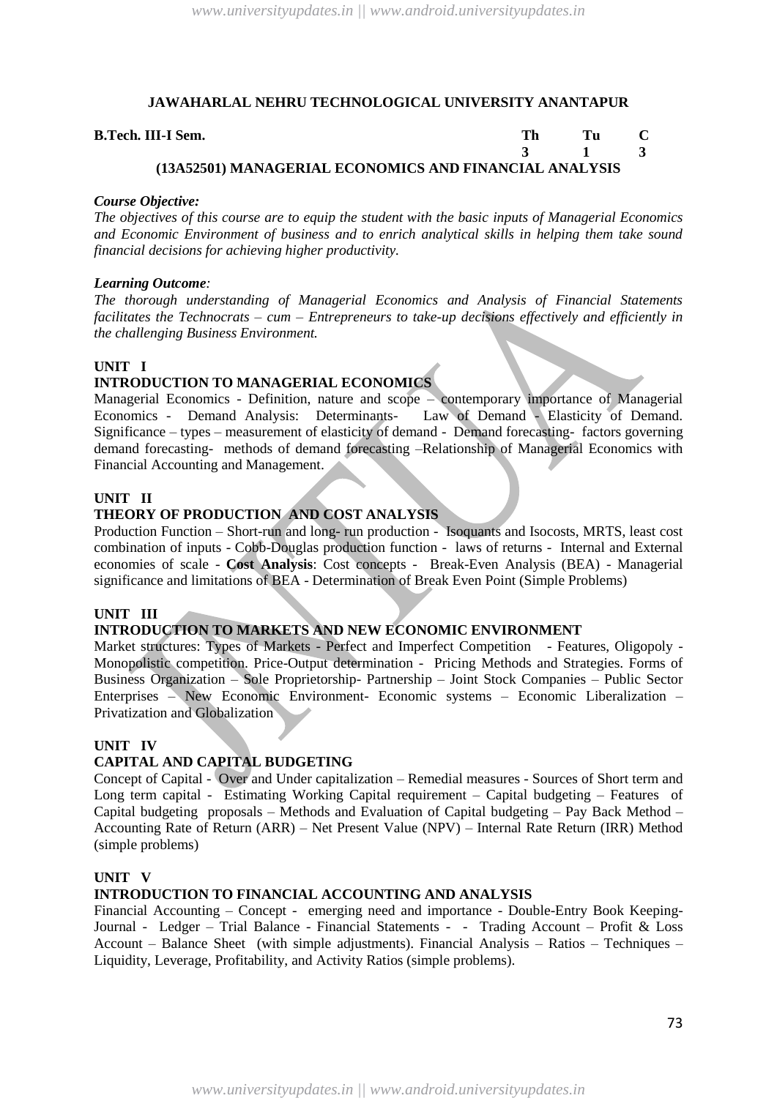#### **B.Tech. III-I Sem. Th Tu C**

#### **3 1 3 (13A52501) MANAGERIAL ECONOMICS AND FINANCIAL ANALYSIS**

#### *Course Objective:*

*The objectives of this course are to equip the student with the basic inputs of Managerial Economics and Economic Environment of business and to enrich analytical skills in helping them take sound financial decisions for achieving higher productivity.*

#### *Learning Outcome:*

*The thorough understanding of Managerial Economics and Analysis of Financial Statements facilitates the Technocrats – cum – Entrepreneurs to take-up decisions effectively and efficiently in the challenging Business Environment.* 

#### **UNIT I**

#### **INTRODUCTION TO MANAGERIAL ECONOMICS**

Managerial Economics - Definition, nature and scope – contemporary importance of Managerial Economics - Demand Analysis: Determinants- Law of Demand - Elasticity of Demand. Significance – types – measurement of elasticity of demand - Demand forecasting- factors governing demand forecasting- methods of demand forecasting –Relationship of Managerial Economics with Financial Accounting and Management.

#### **UNIT II**

# **THEORY OF PRODUCTION AND COST ANALYSIS**

Production Function – Short-run and long- run production - Isoquants and Isocosts, MRTS, least cost combination of inputs - Cobb-Douglas production function - laws of returns - Internal and External economies of scale - **Cost Analysis**: Cost concepts - Break-Even Analysis (BEA) - Managerial significance and limitations of BEA - Determination of Break Even Point (Simple Problems)

#### **UNIT III**

# **INTRODUCTION TO MARKETS AND NEW ECONOMIC ENVIRONMENT**

Market structures: Types of Markets - Perfect and Imperfect Competition - Features, Oligopoly - Monopolistic competition. Price-Output determination - Pricing Methods and Strategies. Forms of Business Organization – Sole Proprietorship- Partnership – Joint Stock Companies – Public Sector Enterprises – New Economic Environment- Economic systems – Economic Liberalization – Privatization and Globalization

#### **UNIT IV**

#### **CAPITAL AND CAPITAL BUDGETING**

Concept of Capital - Over and Under capitalization – Remedial measures - Sources of Short term and Long term capital - Estimating Working Capital requirement – Capital budgeting – Features of Capital budgeting proposals – Methods and Evaluation of Capital budgeting – Pay Back Method – Accounting Rate of Return (ARR) – Net Present Value (NPV) – Internal Rate Return (IRR) Method (simple problems)

#### **UNIT V**

#### **INTRODUCTION TO FINANCIAL ACCOUNTING AND ANALYSIS**

Financial Accounting – Concept - emerging need and importance - Double-Entry Book Keeping-Journal - Ledger – Trial Balance - Financial Statements - - Trading Account – Profit & Loss Account – Balance Sheet (with simple adjustments). Financial Analysis – Ratios – Techniques – Liquidity, Leverage, Profitability, and Activity Ratios (simple problems).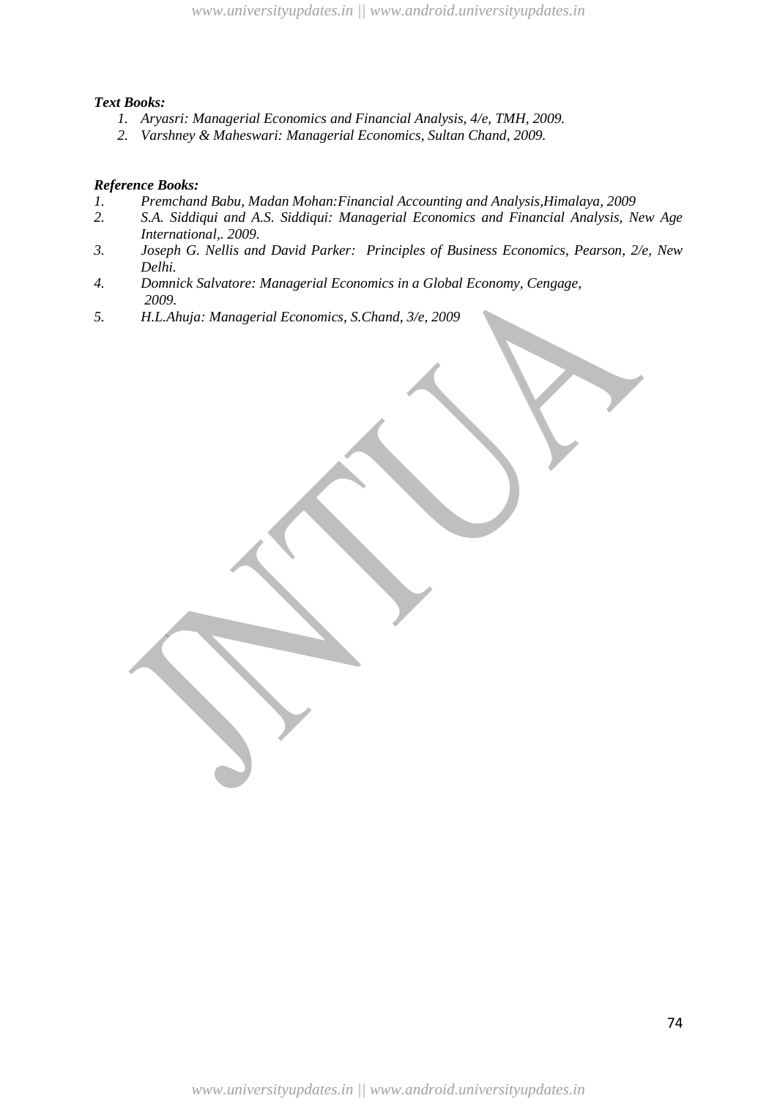#### *Text Books:*

- *1. Aryasri: Managerial Economics and Financial Analysis, 4/e, TMH, 2009.*
- *2. Varshney & Maheswari: Managerial Economics, Sultan Chand, 2009.*

- *1. Premchand Babu, Madan Mohan:Financial Accounting and Analysis,Himalaya, 2009*
- *2. S.A. Siddiqui and A.S. Siddiqui: Managerial Economics and Financial Analysis, New Age International,. 2009.*
- *3. Joseph G. Nellis and David Parker: Principles of Business Economics, Pearson, 2/e, New Delhi.*
- *4. Domnick Salvatore: Managerial Economics in a Global Economy, Cengage, 2009.*
- *5. H.L.Ahuja: Managerial Economics, S.Chand, 3/e, 2009*

*www.universityupdates.in || www.android.universityupdates.in*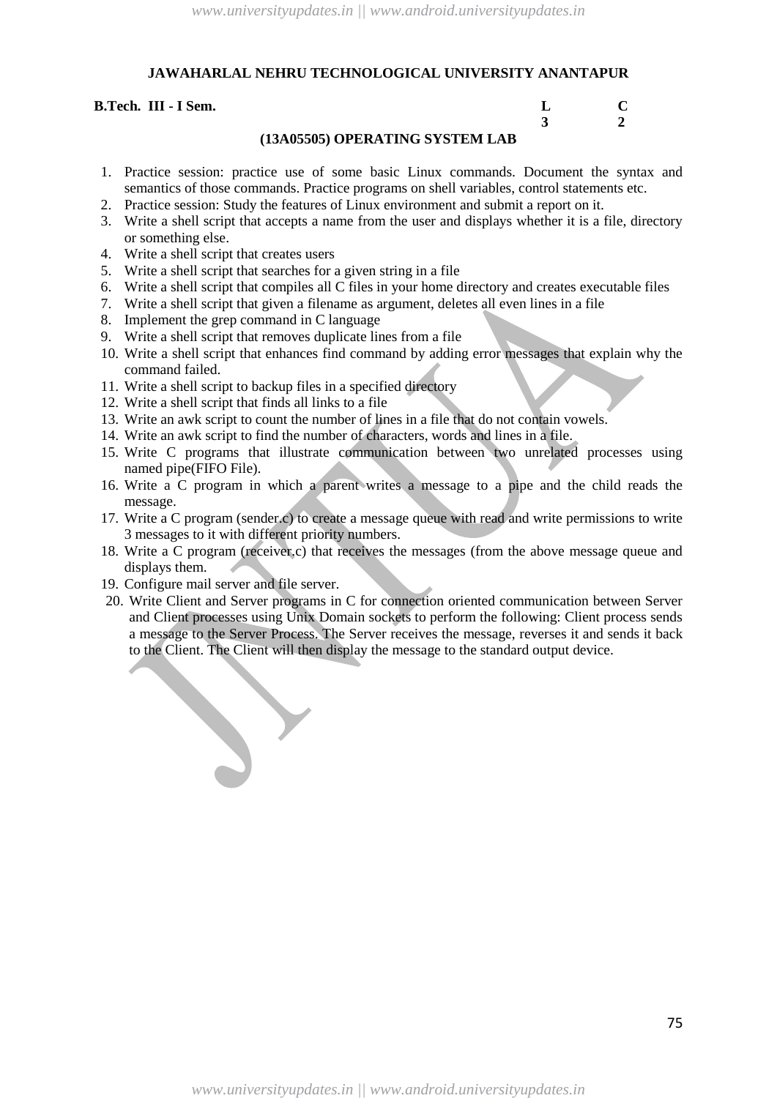#### **B.Tech. III - I Sem. L C 3 2 (13A05505) OPERATING SYSTEM LAB**

- 1. Practice session: practice use of some basic Linux commands. Document the syntax and semantics of those commands. Practice programs on shell variables, control statements etc.
- 2. Practice session: Study the features of Linux environment and submit a report on it.
- 3. Write a shell script that accepts a name from the user and displays whether it is a file, directory or something else.
- 4. Write a shell script that creates users
- 5. Write a shell script that searches for a given string in a file
- 6. Write a shell script that compiles all C files in your home directory and creates executable files
- 7. Write a shell script that given a filename as argument, deletes all even lines in a file
- 8. Implement the grep command in C language
- 9. Write a shell script that removes duplicate lines from a file
- 10. Write a shell script that enhances find command by adding error messages that explain why the command failed.
- 11. Write a shell script to backup files in a specified directory
- 12. Write a shell script that finds all links to a file
- 13. Write an awk script to count the number of lines in a file that do not contain vowels.
- 14. Write an awk script to find the number of characters, words and lines in a file.
- 15. Write C programs that illustrate communication between two unrelated processes using named pipe(FIFO File).
- 16. Write a C program in which a parent writes a message to a pipe and the child reads the message.
- 17. Write a C program (sender.c) to create a message queue with read and write permissions to write 3 messages to it with different priority numbers.
- 18. Write a C program (receiver.c) that receives the messages (from the above message queue and displays them.
- 19. Configure mail server and file server.
- 20. Write Client and Server programs in C for connection oriented communication between Server and Client processes using Unix Domain sockets to perform the following: Client process sends a message to the Server Process. The Server receives the message, reverses it and sends it back to the Client. The Client will then display the message to the standard output device.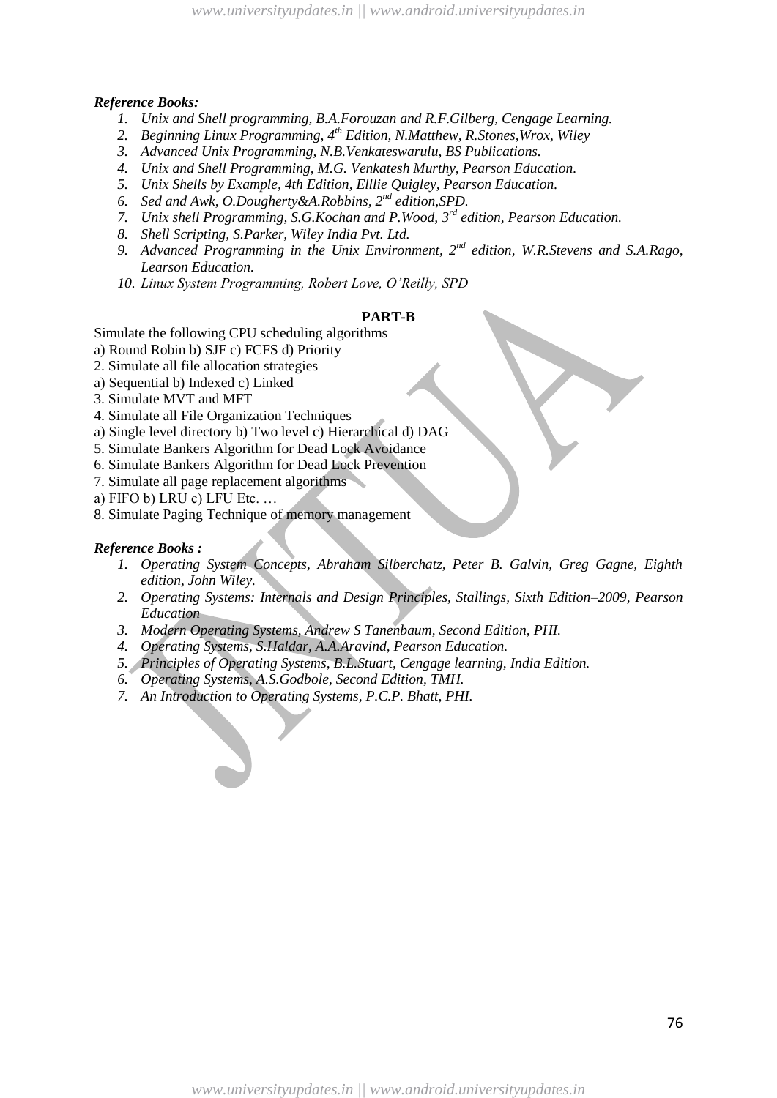#### *Reference Books:*

- *1. Unix and Shell programming, B.A.Forouzan and R.F.Gilberg, Cengage Learning.*
- *2. Beginning Linux Programming, 4th Edition, N.Matthew, R.Stones,Wrox, Wiley*
- *3. Advanced Unix Programming, N.B.Venkateswarulu, BS Publications.*
- *4. Unix and Shell Programming, M.G. Venkatesh Murthy, Pearson Education.*
- *5. Unix Shells by Example, 4th Edition, Elllie Quigley, Pearson Education.*
- *6. Sed and Awk, O.Dougherty&A.Robbins, 2nd edition,SPD.*
- *7. Unix shell Programming, S.G.Kochan and P.Wood, 3rd edition, Pearson Education.*
- *8. Shell Scripting, S.Parker, Wiley India Pvt. Ltd.*
- *9. Advanced Programming in the Unix Environment, 2nd edition, W.R.Stevens and S.A.Rago, Learson Education.*
- *10. Linux System Programming, Robert Love, O"Reilly, SPD*

#### **PART-B**

Simulate the following CPU scheduling algorithms

- a) Round Robin b) SJF c) FCFS d) Priority
- 2. Simulate all file allocation strategies
- a) Sequential b) Indexed c) Linked
- 3. Simulate MVT and MFT
- 4. Simulate all File Organization Techniques
- a) Single level directory b) Two level c) Hierarchical d) DAG
- 5. Simulate Bankers Algorithm for Dead Lock Avoidance
- 6. Simulate Bankers Algorithm for Dead Lock Prevention
- 7. Simulate all page replacement algorithms
- a) FIFO b) LRU c) LFU Etc. …
- 8. Simulate Paging Technique of memory management

- *1. Operating System Concepts, Abraham Silberchatz, Peter B. Galvin, Greg Gagne, Eighth edition, John Wiley.*
- *2. Operating Systems: Internals and Design Principles, Stallings, Sixth Edition–2009, Pearson Education*
- *3. Modern Operating Systems, Andrew S Tanenbaum, Second Edition, PHI.*
- *4. Operating Systems, S.Haldar, A.A.Aravind, Pearson Education.*
- *5. Principles of Operating Systems, B.L.Stuart, Cengage learning, India Edition.*
- *6. Operating Systems, A.S.Godbole, Second Edition, TMH.*
- *7. An Introduction to Operating Systems, P.C.P. Bhatt, PHI.*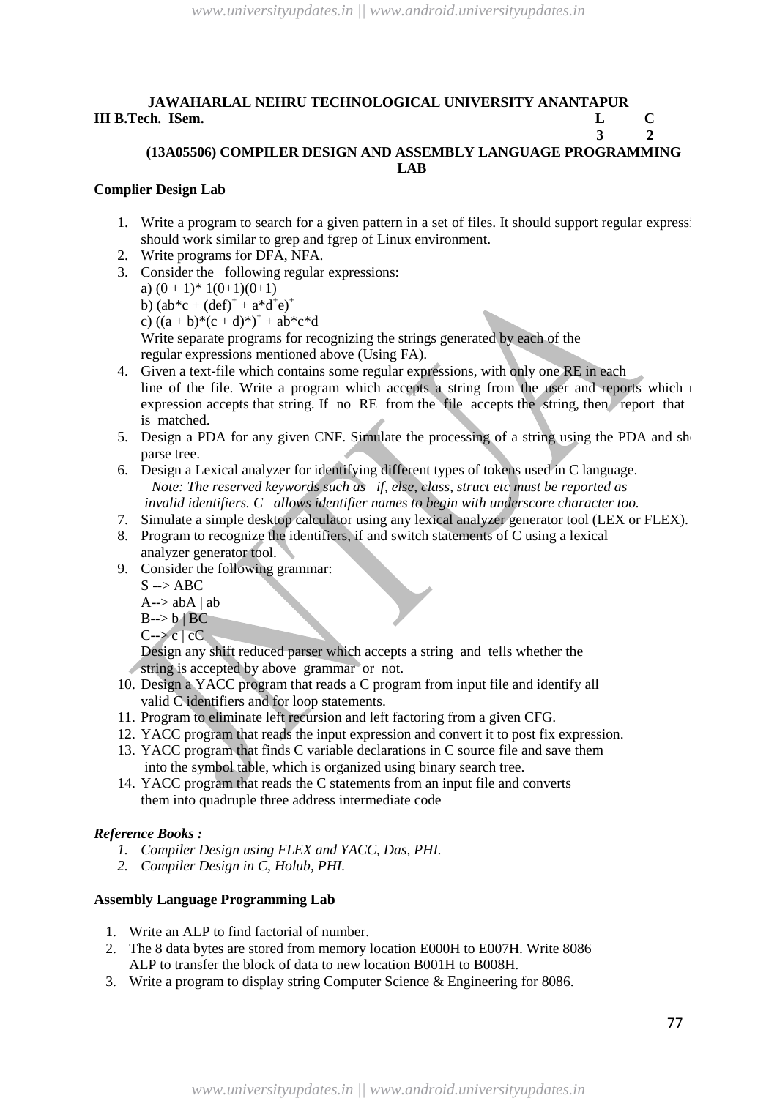# **JAWAHARLAL NEHRU TECHNOLOGICAL UNIVERSITY ANANTAPUR III B.Tech. ISem. L C**

#### **3 2 (13A05506) COMPILER DESIGN AND ASSEMBLY LANGUAGE PROGRAMMING LAB**

## **Complier Design Lab**

- 1. Write a program to search for a given pattern in a set of files. It should support regular express: should work similar to grep and fgrep of Linux environment.
- 2. Write programs for DFA, NFA.
- 3. Consider the following regular expressions: a)  $(0+1)^* 1(0+1)(0+1)$ b)  $(ab^*c + (def)^+ + a^*d^+e)^+$ c)  $((a + b)*(c + d)*') + ab*c*d$ Write separate programs for recognizing the strings generated by each of the regular expressions mentioned above (Using FA).
- 4. Given a text-file which contains some regular expressions, with only one RE in each line of the file. Write a program which accepts a string from the user and reports which  $\pm$ expression accepts that string. If no RE from the file accepts the string, then report that is matched.
- 5. Design a PDA for any given CNF. Simulate the processing of a string using the PDA and sh parse tree.
- 6. Design a Lexical analyzer for identifying different types of tokens used in C language.  *Note: The reserved keywords such as if, else, class, struct etc must be reported as invalid identifiers. C allows identifier names to begin with underscore character too.*
- 7. Simulate a simple desktop calculator using any lexical analyzer generator tool (LEX or FLEX).
- 8. Program to recognize the identifiers, if and switch statements of C using a lexical analyzer generator tool.
- 9. Consider the following grammar:
	- $S \rightarrow ABC$
	- $A\rightarrow abA | ab$
	- $B\rightarrow b \mid BC$
	- $C\rightarrow c$  |  $cC$

Design any shift reduced parser which accepts a string and tells whether the string is accepted by above grammar or not.

- 10. Design a YACC program that reads a C program from input file and identify all valid C identifiers and for loop statements.
- 11. Program to eliminate left recursion and left factoring from a given CFG.
- 12. YACC program that reads the input expression and convert it to post fix expression.
- 13. YACC program that finds C variable declarations in C source file and save them into the symbol table, which is organized using binary search tree.
- 14. YACC program that reads the C statements from an input file and converts them into quadruple three address intermediate code

# *Reference Books :*

- *1. Compiler Design using FLEX and YACC, Das, PHI.*
- *2. Compiler Design in C, Holub, PHI.*

# **Assembly Language Programming Lab**

- 1. Write an ALP to find factorial of number.
- 2. The 8 data bytes are stored from memory location E000H to E007H. Write 8086 ALP to transfer the block of data to new location B001H to B008H.
- 3. Write a program to display string Computer Science & Engineering for 8086.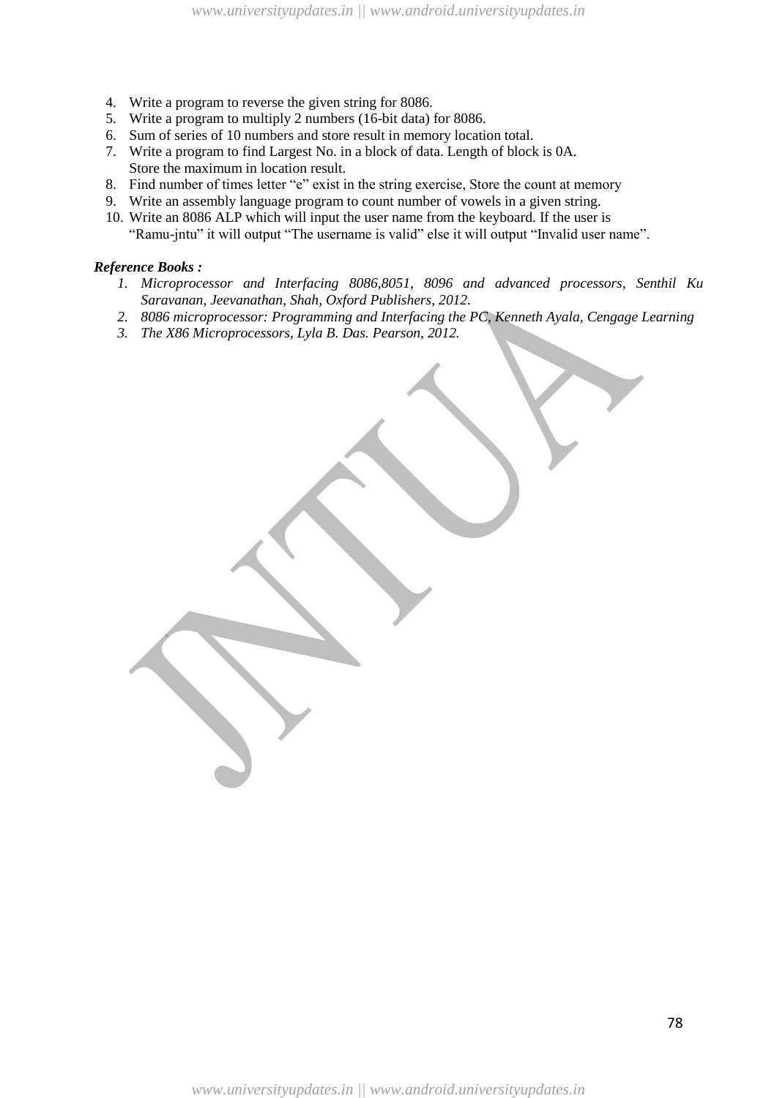- 4. Write a program to reverse the given string for 8086.
- 5. Write a program to multiply 2 numbers (16-bit data) for 8086.
- 6. Sum of series of 10 numbers and store result in memory location total.
- 7. Write a program to find Largest No. in a block of data. Length of block is 0A. Store the maximum in location result.
- 8. Find number of times letter "e" exist in the string exercise, Store the count at memory
- 9. Write an assembly language program to count number of vowels in a given string.
- 10. Write an 8086 ALP which will input the user name from the keyboard. If the user is "Ramu-jntu" it will output "The username is valid" else it will output "Invalid user name".

#### *Reference Books :*

- 1. *Microprocessor and Interfacing 8086,8051, 8096 and advanced processors, Senthil Ku Saravanan, Jeevanathan, Shah, Oxford Publishers, 2012.*
- *2. 8086 microprocessor: Programming and Interfacing the PC, Kenneth Ayala, Cengage Learning*
- *3. The X86 Microprocessors, Lyla B. Das. Pearson, 2012.*

*www.universityupdates.in || www.android.universityupdates.in*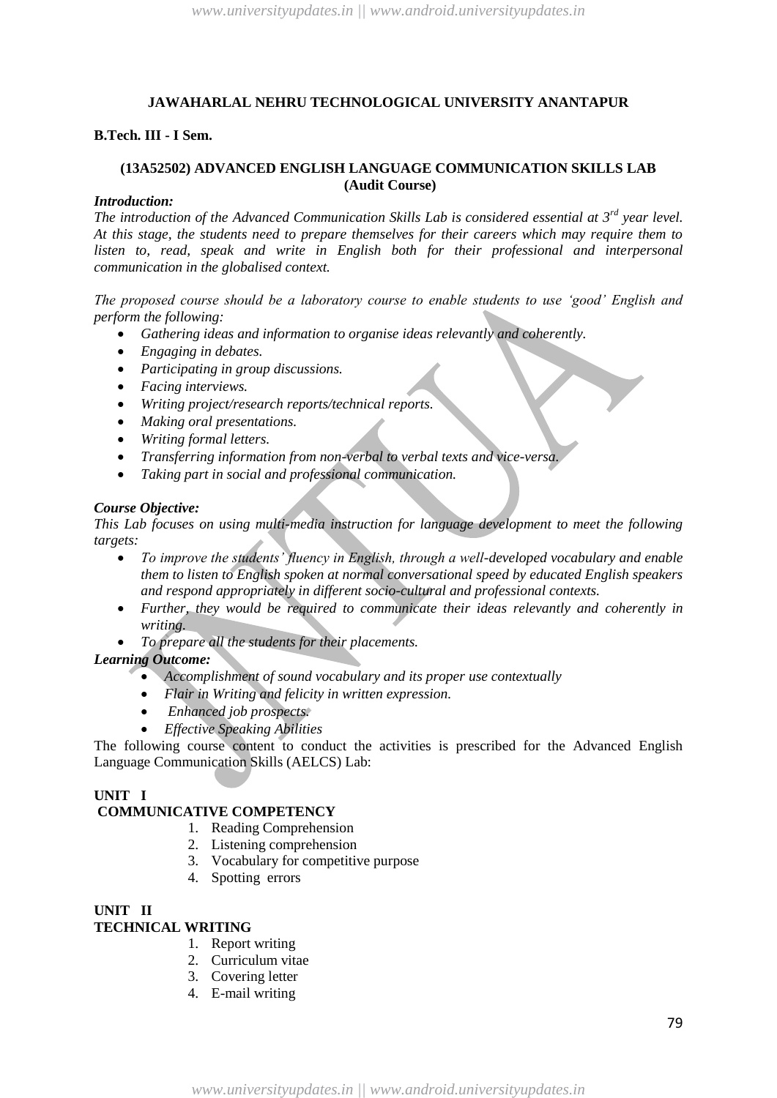#### **B.Tech. III - I Sem.**

# **(13A52502) ADVANCED ENGLISH LANGUAGE COMMUNICATION SKILLS LAB (Audit Course)**

#### *Introduction:*

*The introduction of the Advanced Communication Skills Lab is considered essential at 3rd year level. At this stage, the students need to prepare themselves for their careers which may require them to*  listen to, read, speak and write in English both for their professional and interpersonal *communication in the globalised context.*

*The proposed course should be a laboratory course to enable students to use "good" English and perform the following:*

- *Gathering ideas and information to organise ideas relevantly and coherently.*
- *Engaging in debates.*
- *Participating in group discussions.*
- *Facing interviews.*
- *Writing project/research reports/technical reports.*
- *Making oral presentations.*
- *Writing formal letters.*
- *Transferring information from non-verbal to verbal texts and vice-versa.*
- *Taking part in social and professional communication.*

#### *Course Objective:*

*This Lab focuses on using multi-media instruction for language development to meet the following targets:*

- *To improve the students" fluency in English, through a well-developed vocabulary and enable them to listen to English spoken at normal conversational speed by educated English speakers and respond appropriately in different socio-cultural and professional contexts.*
- *Further, they would be required to communicate their ideas relevantly and coherently in writing.*
- *To prepare all the students for their placements.*

#### *Learning Outcome:*

- *Accomplishment of sound vocabulary and its proper use contextually*
- *Flair in Writing and felicity in written expression.*
- *Enhanced job prospects.*
- *Effective Speaking Abilities*

The following course content to conduct the activities is prescribed for the Advanced English Language Communication Skills (AELCS) Lab:

#### **UNIT I**

# **COMMUNICATIVE COMPETENCY**

- 1. Reading Comprehension
- 2. Listening comprehension
- 3. Vocabulary for competitive purpose
- 4. Spotting errors

#### **UNIT II TECHNICAL WRITING**

- 1. Report writing
- 2. Curriculum vitae
- 3. Covering letter
- 4. E-mail writing